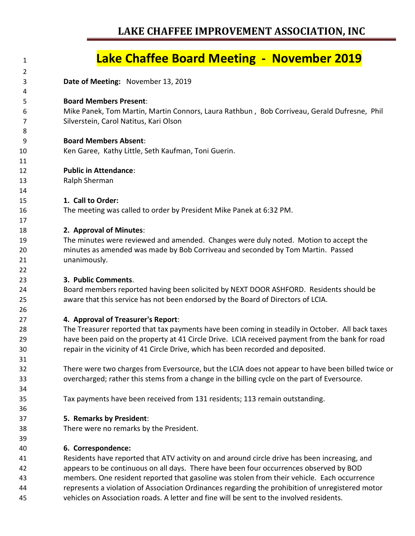# **LAKE CHAFFEE IMPROVEMENT ASSOCIATION, INC**

## **Lake Chaffee Board Meeting - November 2019 Date of Meeting:** November 13, 2019 **Board Members Present**: Mike Panek, Tom Martin, Martin Connors, Laura Rathbun , Bob Corriveau, Gerald Dufresne, Phil Silverstein, Carol Natitus, Kari Olson **Board Members Absent**: Ken Garee, Kathy Little, Seth Kaufman, Toni Guerin. **Public in Attendance**: Ralph Sherman **1. Call to Order:** The meeting was called to order by President Mike Panek at 6:32 PM. **2. Approval of Minutes**: The minutes were reviewed and amended. Changes were duly noted. Motion to accept the minutes as amended was made by Bob Corriveau and seconded by Tom Martin. Passed unanimously. **3. Public Comments**. Board members reported having been solicited by NEXT DOOR ASHFORD. Residents should be aware that this service has not been endorsed by the Board of Directors of LCIA. **4. Approval of Treasurer's Report**: The Treasurer reported that tax payments have been coming in steadily in October. All back taxes have been paid on the property at 41 Circle Drive. LCIA received payment from the bank for road repair in the vicinity of 41 Circle Drive, which has been recorded and deposited. There were two charges from Eversource, but the LCIA does not appear to have been billed twice or overcharged; rather this stems from a change in the billing cycle on the part of Eversource. Tax payments have been received from 131 residents; 113 remain outstanding. **5. Remarks by President**: There were no remarks by the President. **6. Correspondence:** Residents have reported that ATV activity on and around circle drive has been increasing, and appears to be continuous on all days. There have been four occurrences observed by BOD members. One resident reported that gasoline was stolen from their vehicle. Each occurrence represents a violation of Association Ordinances regarding the prohibition of unregistered motor vehicles on Association roads. A letter and fine will be sent to the involved residents.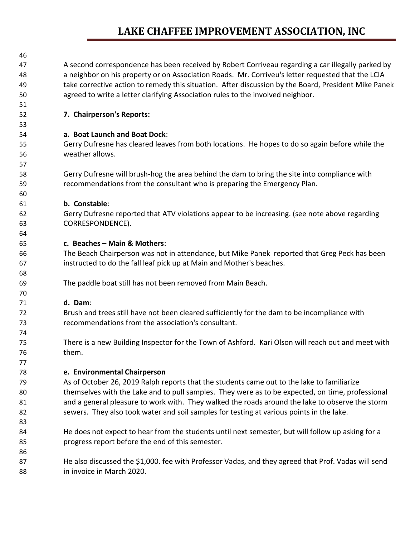# **LAKE CHAFFEE IMPROVEMENT ASSOCIATION, INC**

| 46 |                                                                                                      |
|----|------------------------------------------------------------------------------------------------------|
| 47 | A second correspondence has been received by Robert Corriveau regarding a car illegally parked by    |
| 48 | a neighbor on his property or on Association Roads. Mr. Corriveu's letter requested that the LCIA    |
| 49 | take corrective action to remedy this situation. After discussion by the Board, President Mike Panek |
| 50 | agreed to write a letter clarifying Association rules to the involved neighbor.                      |
| 51 |                                                                                                      |
| 52 | 7. Chairperson's Reports:                                                                            |
| 53 |                                                                                                      |
| 54 | a. Boat Launch and Boat Dock:                                                                        |
| 55 | Gerry Dufresne has cleared leaves from both locations. He hopes to do so again before while the      |
| 56 | weather allows.                                                                                      |
| 57 |                                                                                                      |
| 58 | Gerry Dufresne will brush-hog the area behind the dam to bring the site into compliance with         |
| 59 | recommendations from the consultant who is preparing the Emergency Plan.                             |
| 60 |                                                                                                      |
| 61 | b. Constable:                                                                                        |
| 62 | Gerry Dufresne reported that ATV violations appear to be increasing. (see note above regarding       |
| 63 | CORRESPONDENCE).                                                                                     |
| 64 |                                                                                                      |
| 65 | c. Beaches - Main & Mothers:                                                                         |
| 66 | The Beach Chairperson was not in attendance, but Mike Panek reported that Greg Peck has been         |
| 67 | instructed to do the fall leaf pick up at Main and Mother's beaches.                                 |
| 68 |                                                                                                      |
| 69 | The paddle boat still has not been removed from Main Beach.                                          |
| 70 |                                                                                                      |
| 71 | d. Dam:                                                                                              |
| 72 | Brush and trees still have not been cleared sufficiently for the dam to be incompliance with         |
| 73 | recommendations from the association's consultant.                                                   |
| 74 |                                                                                                      |
| 75 | There is a new Building Inspector for the Town of Ashford. Kari Olson will reach out and meet with   |
| 76 | them.                                                                                                |
| 77 |                                                                                                      |
| 78 | e. Environmental Chairperson                                                                         |
| 79 | As of October 26, 2019 Ralph reports that the students came out to the lake to familiarize           |
| 80 | themselves with the Lake and to pull samples. They were as to be expected, on time, professional     |
| 81 | and a general pleasure to work with. They walked the roads around the lake to observe the storm      |
| 82 | sewers. They also took water and soil samples for testing at various points in the lake.             |
| 83 |                                                                                                      |
| 84 | He does not expect to hear from the students until next semester, but will follow up asking for a    |
| 85 | progress report before the end of this semester.                                                     |
| 86 |                                                                                                      |
|    |                                                                                                      |
| 87 | He also discussed the \$1,000. fee with Professor Vadas, and they agreed that Prof. Vadas will send  |

in invoice in March 2020.